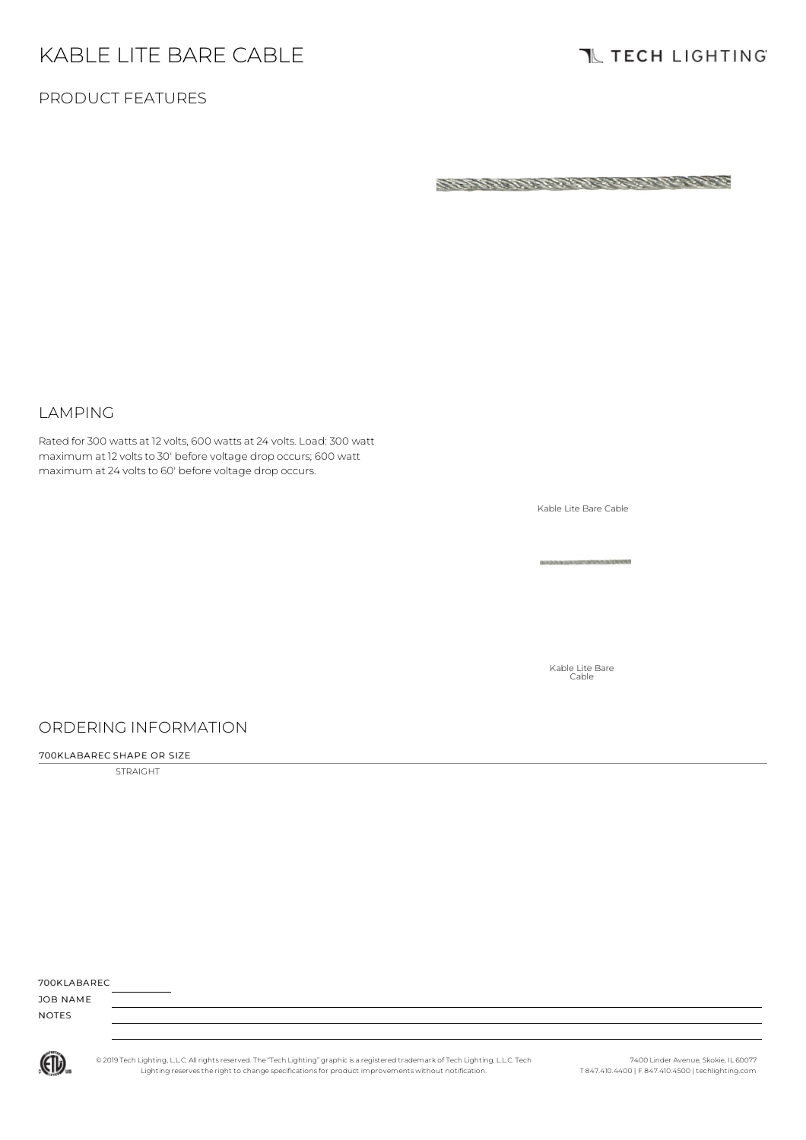# KABLE LITE BARE CABLE

# **TL TECH LIGHTING**

### PRODUCT FEATURES

ちょうきょうしつりょうしんびつう しょりりょう

#### LAMPING

Rated for 300 watts at 12 volts, 600 watts at 24 volts. Load: 300 watt maximum at 12 volts to 30' before voltage drop occurs; 600 watt maximum at 24 voltsto 60' before voltage drop occurs.

Kable Lite Bare Cable

Kable Lite Bare Cable

### ORDERING INFORMATION

#### 700KLABAREC SHAPE OR SIZE

STRAIGHT

| 700KI ABARFC |  |
|--------------|--|
|              |  |

JOB NAME NOTES



© 2019 Tech Lighting, L.L.C. All rightsreserved. The "Tech Lighting" graphicis a registered trademark of Tech Lighting, L.L.C. Tech Lighting reservesthe right to change specificationsfor product improvements without notification.

7400 Linder Avenue, Skokie, IL 60077 T 847.410.4400 | F 847.410.4500 | techlighting.com